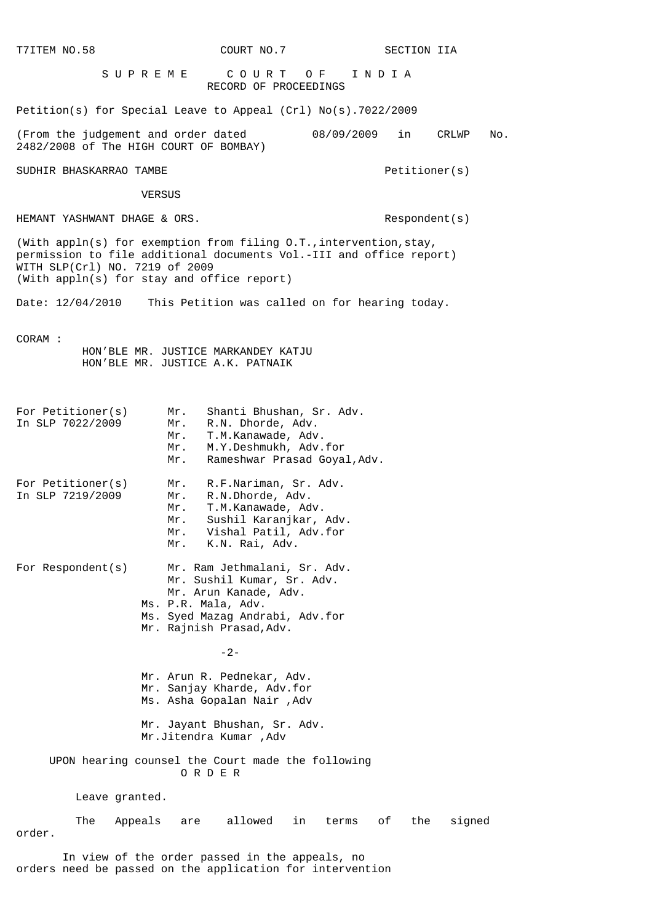| T7ITEM NO.58                                                                                                                                                                                                                 | COURT NO.7                                                                                                                                                                     |             | SECTION IIA   |        |
|------------------------------------------------------------------------------------------------------------------------------------------------------------------------------------------------------------------------------|--------------------------------------------------------------------------------------------------------------------------------------------------------------------------------|-------------|---------------|--------|
| SUPREME                                                                                                                                                                                                                      | COURT OF<br>RECORD OF PROCEEDINGS                                                                                                                                              | INDIA       |               |        |
| Petition(s) for Special Leave to Appeal (Crl) $No(s)$ .7022/2009                                                                                                                                                             |                                                                                                                                                                                |             |               |        |
| (From the judgement and order dated<br>2482/2008 of The HIGH COURT OF BOMBAY)                                                                                                                                                |                                                                                                                                                                                | 08/09/2009  | in<br>CRLWP   | No.    |
| SUDHIR BHASKARRAO TAMBE                                                                                                                                                                                                      |                                                                                                                                                                                |             | Petitioner(s) |        |
| VERSUS                                                                                                                                                                                                                       |                                                                                                                                                                                |             |               |        |
| HEMANT YASHWANT DHAGE & ORS.                                                                                                                                                                                                 |                                                                                                                                                                                |             | Respondent(s) |        |
| (With appln(s) for exemption from filing $0.T.$ , intervention, stay,<br>permission to file additional documents Vol.-III and office report)<br>WITH SLP(Crl) NO. 7219 of 2009<br>(With appln(s) for stay and office report) |                                                                                                                                                                                |             |               |        |
| Date: 12/04/2010 This Petition was called on for hearing today.                                                                                                                                                              |                                                                                                                                                                                |             |               |        |
| CORAM:                                                                                                                                                                                                                       | HON'BLE MR. JUSTICE MARKANDEY KATJU<br>HON'BLE MR. JUSTICE A.K. PATNAIK                                                                                                        |             |               |        |
| For Petitioner(s)<br>In SLP 7022/2009                                                                                                                                                                                        | Shanti Bhushan, Sr. Adv.<br>Mr.<br>R.N. Dhorde, Adv.<br>Mr.<br>T.M.Kanawade, Adv.<br>Mr.<br>M.Y.Deshmukh, Adv.for<br>Mr.<br>Rameshwar Prasad Goyal, Adv.<br>Mr.                |             |               |        |
| For Petitioner(s)<br>In SLP 7219/2009                                                                                                                                                                                        | R.F.Nariman, Sr. Adv.<br>Mr.<br>R.N.Dhorde, Adv.<br>Mr.<br>T.M.Kanawade, Adv.<br>Mr.<br>Sushil Karanjkar, Adv.<br>Mr.<br>Vishal Patil, Adv.for<br>Mr.<br>K.N. Rai, Adv.<br>Mr. |             |               |        |
| For $Respondent(s)$                                                                                                                                                                                                          | Mr. Ram Jethmalani, Sr. Adv.<br>Mr. Sushil Kumar, Sr. Adv.<br>Mr. Arun Kanade, Adv.<br>Ms. P.R. Mala, Adv.<br>Ms. Syed Mazag Andrabi, Adv.for<br>Mr. Rajnish Prasad, Adv.      |             |               |        |
|                                                                                                                                                                                                                              | $-2-$                                                                                                                                                                          |             |               |        |
|                                                                                                                                                                                                                              | Mr. Arun R. Pednekar, Adv.<br>Mr. Sanjay Kharde, Adv.for<br>Ms. Asha Gopalan Nair , Adv                                                                                        |             |               |        |
|                                                                                                                                                                                                                              | Mr. Jayant Bhushan, Sr. Adv.<br>Mr.Jitendra Kumar , Adv                                                                                                                        |             |               |        |
| UPON hearing counsel the Court made the following<br>ORDER                                                                                                                                                                   |                                                                                                                                                                                |             |               |        |
| Leave granted.                                                                                                                                                                                                               |                                                                                                                                                                                |             |               |        |
| The<br>Appeals<br>order.                                                                                                                                                                                                     | allowed<br>in<br>are                                                                                                                                                           | of<br>terms | the           | signed |
|                                                                                                                                                                                                                              | In view of the order passed in the appeals, no                                                                                                                                 |             |               |        |

orders need be passed on the application for intervention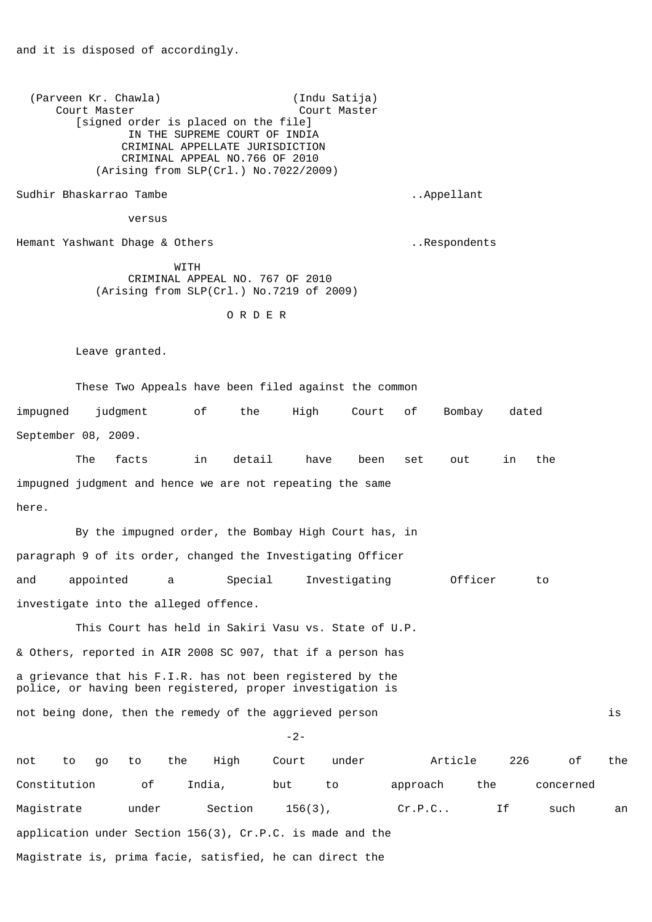(Parveen Kr. Chawla) (Indu Satija) Court Master Court Master [signed order is placed on the file] IN THE SUPREME COURT OF INDIA CRIMINAL APPELLATE JURISDICTION CRIMINAL APPEAL NO.766 OF 2010 (Arising from SLP(Crl.) No.7022/2009) Sudhir Bhaskarrao Tambe ..Appellant versus Hemant Yashwant Dhage & Others ..Respondents **WITH**  CRIMINAL APPEAL NO. 767 OF 2010 (Arising from SLP(Crl.) No.7219 of 2009) O R D E R Leave granted. These Two Appeals have been filed against the common impugned judgment of the High Court of Bombay dated September 08, 2009. The facts in detail have been set out in the impugned judgment and hence we are not repeating the same here. By the impugned order, the Bombay High Court has, in paragraph 9 of its order, changed the Investigating Officer and appointed a Special Investigating Officer to investigate into the alleged offence. This Court has held in Sakiri Vasu vs. State of U.P. & Others, reported in AIR 2008 SC 907, that if a person has a grievance that his F.I.R. has not been registered by the police, or having been registered, proper investigation is not being done, then the remedy of the aggrieved person is -2-

and it is disposed of accordingly.

not to go to the High Court under Article 226 of the Constitution of India, but to approach the concerned Magistrate under Section 156(3), Cr.P.C.. If such an application under Section 156(3), Cr.P.C. is made and the Magistrate is, prima facie, satisfied, he can direct the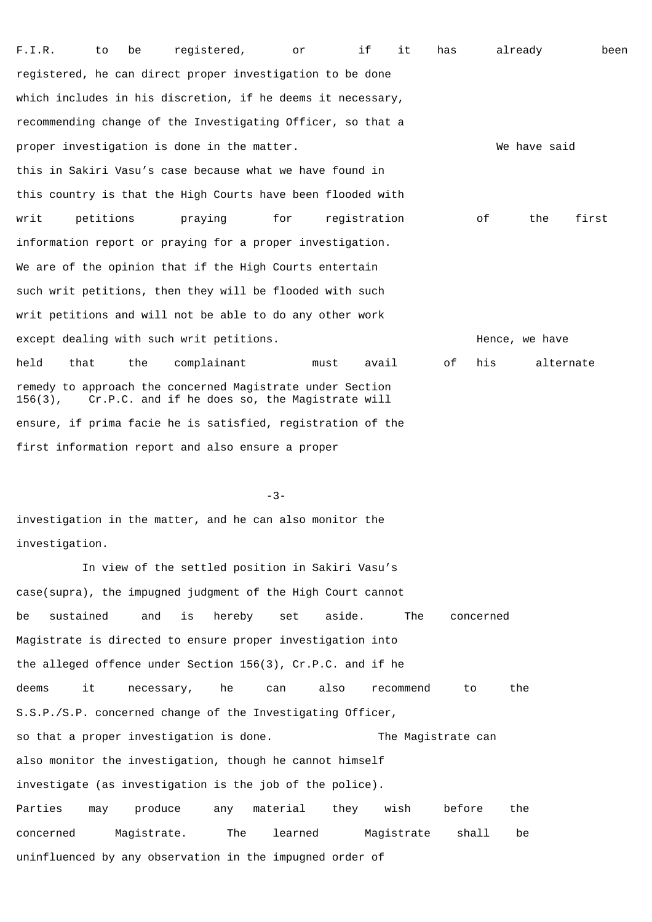F.I.R. to be registered, or if it has already been registered, he can direct proper investigation to be done which includes in his discretion, if he deems it necessary, recommending change of the Investigating Officer, so that a proper investigation is done in the matter. The matter we have said this in Sakiri Vasu's case because what we have found in this country is that the High Courts have been flooded with writ petitions praying for registration of the first information report or praying for a proper investigation. We are of the opinion that if the High Courts entertain such writ petitions, then they will be flooded with such writ petitions and will not be able to do any other work except dealing with such writ petitions. The set of the set of the Hence, we have held that the complainant must avail of his alternate remedy to approach the concerned Magistrate under Section 156(3), Cr.P.C. and if he does so, the Magistrate will ensure, if prima facie he is satisfied, registration of the first information report and also ensure a proper

-3-

investigation in the matter, and he can also monitor the investigation.

 In view of the settled position in Sakiri Vasu's case(supra), the impugned judgment of the High Court cannot be sustained and is hereby set aside. The concerned Magistrate is directed to ensure proper investigation into the alleged offence under Section 156(3), Cr.P.C. and if he deems it necessary, he can also recommend to the S.S.P./S.P. concerned change of the Investigating Officer, so that a proper investigation is done. The Magistrate can also monitor the investigation, though he cannot himself investigate (as investigation is the job of the police). Parties may produce any material they wish before the concerned Magistrate. The learned Magistrate shall be uninfluenced by any observation in the impugned order of